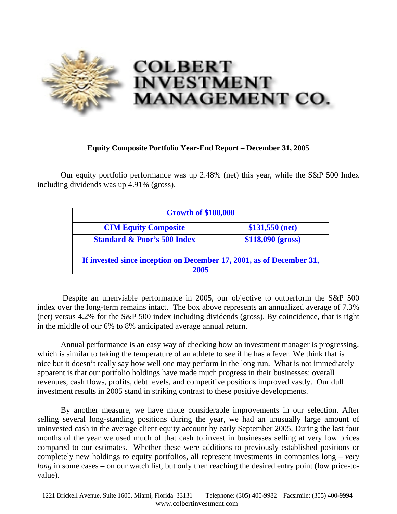

## **Equity Composite Portfolio Year-End Report – December 31, 2005**

Our equity portfolio performance was up 2.48% (net) this year, while the S&P 500 Index including dividends was up 4.91% (gross).

| <b>Growth of \$100,000</b>                                                   |                   |
|------------------------------------------------------------------------------|-------------------|
| <b>CIM Equity Composite</b>                                                  | $$131,550$ (net)  |
| <b>Standard &amp; Poor's 500 Index</b>                                       | \$118,090 (gross) |
| If invested since inception on December 17, 2001, as of December 31,<br>2005 |                   |

 Despite an unenviable performance in 2005, our objective to outperform the S&P 500 index over the long-term remains intact. The box above represents an annualized average of 7.3% (net) versus 4.2% for the S&P 500 index including dividends (gross). By coincidence, that is right in the middle of our 6% to 8% anticipated average annual return.

Annual performance is an easy way of checking how an investment manager is progressing, which is similar to taking the temperature of an athlete to see if he has a fever. We think that is nice but it doesn't really say how well one may perform in the long run. What is not immediately apparent is that our portfolio holdings have made much progress in their businesses: overall revenues, cash flows, profits, debt levels, and competitive positions improved vastly. Our dull investment results in 2005 stand in striking contrast to these positive developments.

 By another measure, we have made considerable improvements in our selection. After selling several long-standing positions during the year, we had an unusually large amount of uninvested cash in the average client equity account by early September 2005. During the last four months of the year we used much of that cash to invest in businesses selling at very low prices compared to our estimates. Whether these were additions to previously established positions or completely new holdings to equity portfolios, all represent investments in companies long – *very long* in some cases – on our watch list, but only then reaching the desired entry point (low price-tovalue).